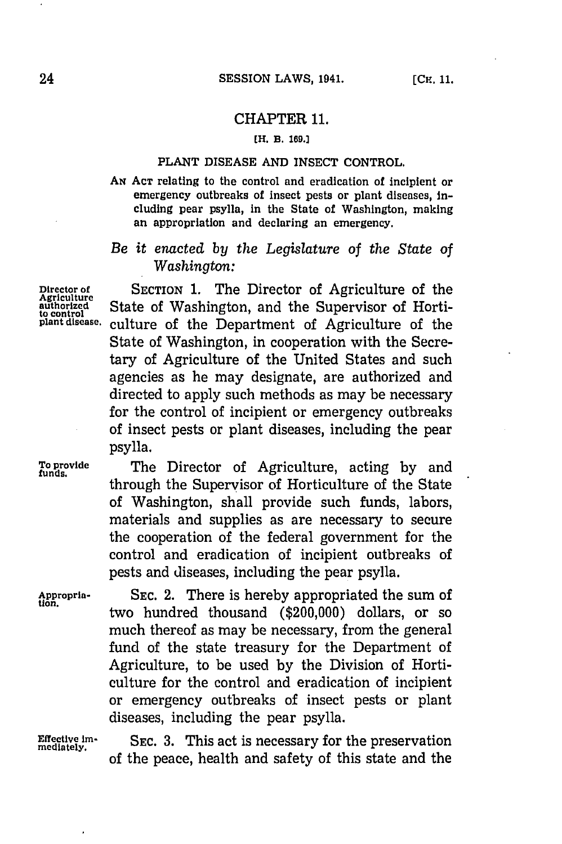### CHAPTER **11.**

#### **MH 11. 169.]**

### **PLANT** DISEASE **AND** INSECT CONTROL.

**AN ACT** relating to the control and eradication of incipient or emergency outbreaks of insect pests or plant diseases, including pear psylla, in the State of Washington, making an appropriation and declaring an emergency.

# *Be it enacted by the Legislature of the State of Washington:*

**Director of** SECTION **1.** The Director of Agriculture of the Agriculus Cate of Washington, and the Supervisor of Horti<sub>to control</sub><br>
plant disease, culture of the Department of Agriculture of the culture of the Department of Agriculture of the State of Washington, in cooperation with the Secretary of Agriculture of the United States and such agencies as he may designate, are authorized and directed to apply such methods as may be necessary for the control of incipient or emergency outbreaks of insect pests or plant diseases, including the pear psylla.

**To prvide** The Director of Agriculture, acting **by** and through the Supervisor of Horticulture of the State of Washington, shall provide such funds, labors, materials and supplies as are necessary to secure the cooperation of the federal government for the control and eradication of incipient outbreaks of pests and diseases, including the pear psylla.

Appropria-<br> **EXEC. 2.** There is hereby appropriated the sum of two hundred thousand (\$200,000) dollars, or so much thereof as may be necessary, from the general fund of the state treasury for the Department of Agriculture, to be used **by** the Division of Horticulture for the control and eradication of incipient or emergency outbreaks of insect pests or plant diseases, including the pear psylla.

**Effective im. SEC. 3.** This act is necessary for the preservation **mediately.** of the peace, health and safety of this state and the